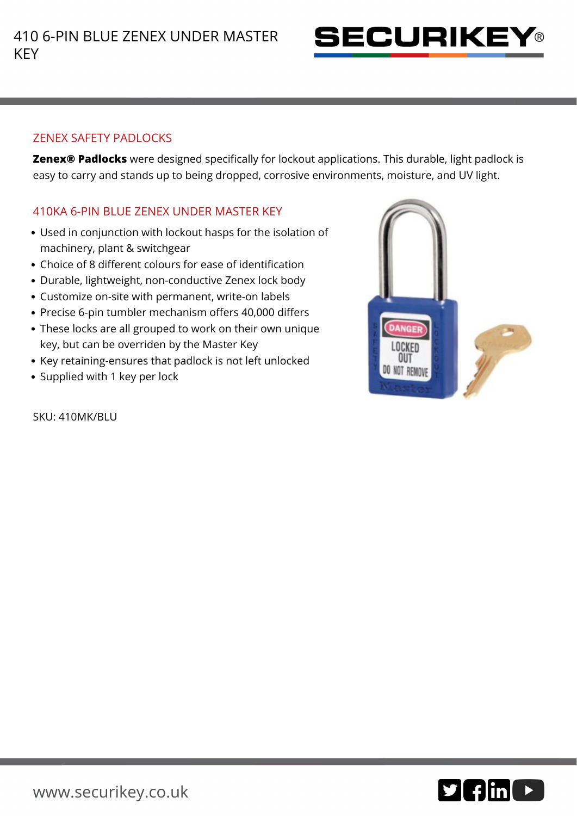

## ZENEX SAFETY PADLOCKS

**Zenex® Padlocks** were designed specifically for lockout applications. This durable, light padlock is easy to carry and stands up to being dropped, corrosive environments, moisture, and UV light.

## 410KA 6-PIN BLUE ZENEX UNDER MASTER KEY

- Used in conjunction with lockout hasps for the isolation of machinery, plant & switchgear
- Choice of 8 different colours for ease of identification
- Durable, lightweight, non-conductive Zenex lock body
- Customize on-site with permanent, write-on labels
- Precise 6-pin tumbler mechanism offers 40,000 differs
- These locks are all grouped to work on their own unique key, but can be overriden by the Master Key
- Key retaining-ensures that padlock is not left unlocked
- Supplied with 1 key per lock

SKU: 410MK/BLU



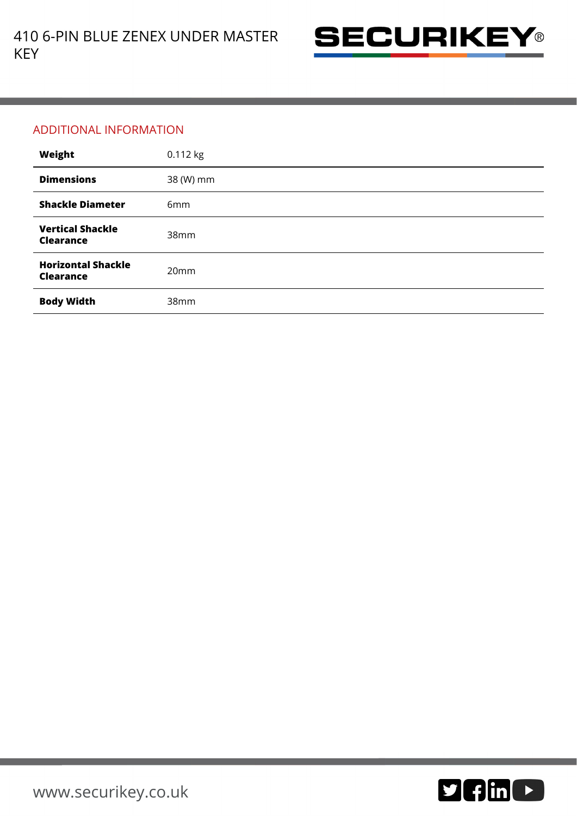

## ADDITIONAL INFORMATION

| Weight                                        | 0.112 kg        |
|-----------------------------------------------|-----------------|
| <b>Dimensions</b>                             | 38 (W) mm       |
| <b>Shackle Diameter</b>                       | 6 <sub>mm</sub> |
| <b>Vertical Shackle</b><br><b>Clearance</b>   | 38mm            |
| <b>Horizontal Shackle</b><br><b>Clearance</b> | 20mm            |
| <b>Body Width</b>                             | 38mm            |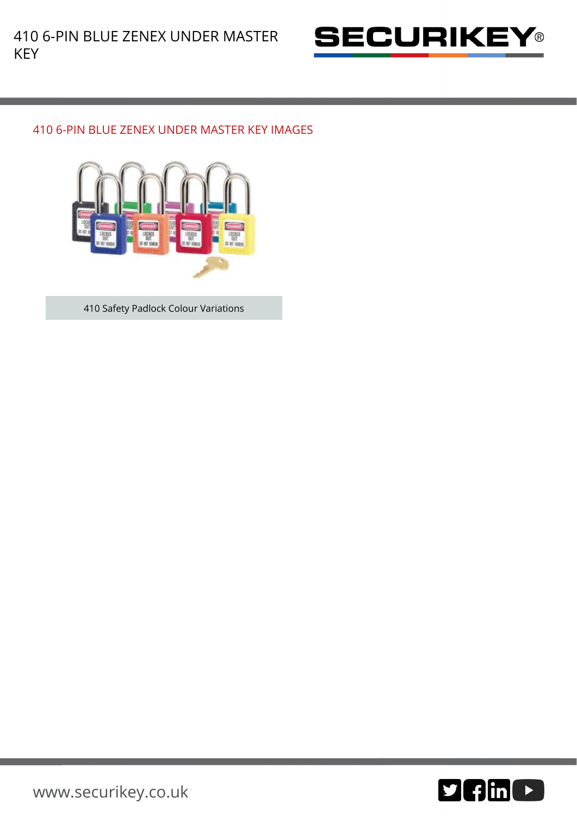

## 410 6-PIN BLUE ZENEX UNDER MASTER KEY IMAGES



410 Safety Padlock Colour Variations